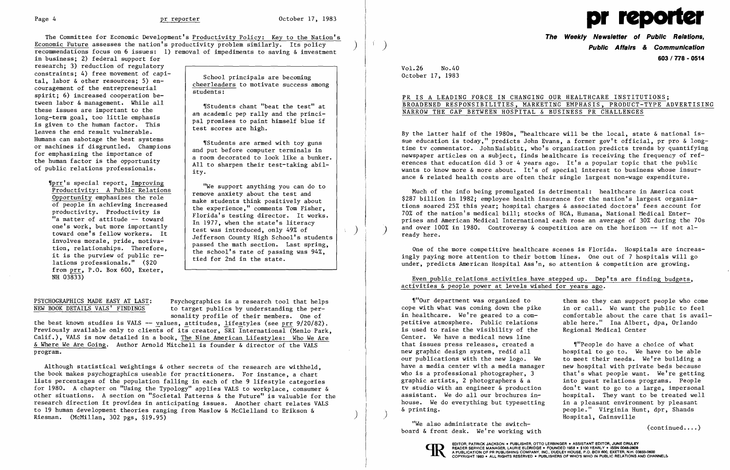

The Committee for Economic Development's Productivity Policy: Key to the Nation's **The Weekly Newsletter of Public Relations,**  Economic Future assesses the nation's productivity problem similarly. Its policy  $\left.\right)$   $\left.\right.$   $\left.\right)$  **Public Affairs & Communication** recommendations focus on 6 issues: 1) removal of impediments to saving & investment

in business; 2) federal support for research; 3) reduction of regulatory constraints; 4) free movement of capi-<br>tal, labor & other resources; 5) en-<br>couragement of the entrepreneurial<br>spirit; 6) increased cooperation be-<br>couragement of the entrepreneurial<br>students: tween labor & management. While all  $\left\{\begin{array}{c} \text{``Students chart "beat the test" at} \\ \text{...} \\ \text{...} \\ \text{...} \end{array}\right\}$ an academic pep rally and the princi-<br>long-term goal, too little emphasis<br>is given to the human factor. This<br>leaves the end result vulnerable.<br>Humans can sabotage the best systems or machines if disgruntled. Champions for emphasizing the importance of the human factor is the opportunity

We support anything you can do to Productivity: A Public Relations (The Support anything you can do to Productivity: A Public Relations (The Support anything you can do to Productivity: A Public Relations (The Support anyt from prr, P.O. Box 600, Exeter, NH 03833)

of public relations professionals. All to sharpen their test-taking abil-<br>ity.

Productivity: A Public Kelations<br>
Opportunity emphasizes the role<br>
of people in achieving increased<br>
"a mater of attitude -- toward<br>
"a mater of activity is<br>
"a mater of activity is<br>
"a mater of activity is<br>
"a mater of ac

PSYCHOGRAPHICS MADE EASY AT LAST: Psychographics is a research tool that helps<br>NEW BOOK DETAILS VALS' FINDINGS to target publics by understanding the perto target publics by understanding the personality profile of their members. One of

the best known studies is VALS -- values, attitudes, lifestyles (see prr 9/20/82). Previously available only to clients of its creator, SRI International (Menlo Park, Calif.), VALS is now detailed in a book, The Nine American Lifestyles: Who We Are & Where We Are Going. Author Arnold Mitchell is founder & director of the VALS program.

## PR IS A LEADING FORCE IN CHANGING OUR HEALTHCARE INSTITUTIONS; BROADENED RESPONSIBILITIES, MARKETING EMPHASIS, PRODUCT-TYPE ADVERTISING NARROW THE GAP BETWEEN HOSPITAL & BUSINESS PR CHALLENGES

Much of the info being promulgated is detrimental: healthcare in America cost \$287 billion in 1982; employee health insurance for the nation's largest organizations soared 25% this year; hospital charges & associated doctors' fees account for 70% of the nation's medical bill; stocks of HCA, Humana, National Medical Enterprises and American Medical International each rose an average of 30% during the 70s and over 100% in 1980. Controversy & competition are on the horizon  $-$ - if not al-ready here.

## Even public relations activities have stepped up. Dep'ts are finding budgets, activities & people power at levels wished for years ago.

"Our department was organized to them so they can support people who come cope with what was coming down the pike in or call. We want the public to feel cope with what was coming down the pike in or call. We want the public to feel<br>in healthcare. We're geared to a com- comfortable about the care that is avai petitive atmosphere. Public relations is used to raise the visibility of the Regional Medical Center Center. We have a medical news line that issues press releases, created a fill people do have a choice of what new graphic design system, redid all bospital to go to. We have to be ables hospital to go to. We have to be able our publications with the new logo. We to meet their needs. We're building a<br>have a media center with a media manager new hospital with private beds because have a media center with a media manager are hospital with private beds because<br>who is a professional photographer, 3 and that's what people want. We're getting who is a professional photographer, 3 that's what people want. We're getting graphic artists, 2 photographers  $\&a$  into guest relations programs. People graphic artists, 2 photographers & a into guest relations programs. People<br>ty studio with an engineer & production don't want to go to a large, impersonal don't want to go to a large, impersonal assistant. We do all our brochures in- hospital. They want to be treated well<br>house. We do everything but typesetting in a pleasant environment by pleasant house. We do everything but typesetting & printing.<br>
We also administrate the switch-<br>
We also administrate the switch-<br>
We also administrate the switch-

we also administrate the switch (continued...)<br>board & front desk. We're working with



Although statistical weightings & other secrets of the research are withheld, the book makes psychographics useable for practitioners. For instance, a chart lists percentages of the population falling in each of the 9 lifestyle categories for 1980. A chapter on "Using the Typology" applies VALS to workplace, consumer & other situations. A section on "Societal Patterns & the Future" is valuable for the research direction it provides in anticipating issues. Another chart relates VALS to 19 human development theories ranging from Maslow & McClelland to Erikson & Riesman. (McMillan, 302 pgs, \$19.95)

)

 $\Lambda$ 

 $\left( \right)$ 

**603/778 - 0514** 

comfortable about the care that is avail-<br>able here." Ina Albert, dpa, Orlando

Vol. 26 No.40 October 17, 1983

By the latter half of the 1980s, "healthcare will be the local, state & national issue education is today," predicts John Evans, a former gov't official, pr pro & longtime tv commentator. John Naisbitt, who's organization predicts trends by quantifying newspaper articles on a subject, finds healthcare is receiving the frequency of references that education did 3 or 4 years ago. It's a popular topic that the public wants to know more  $\&$  more about. It's of special interest to business whose insurance & related health costs are often their single largest non-wage expenditure.

One of the more competitive healthcare scenes is Florida. Hospitals are increasingly paying more attention to their bottom lines. One out of 7 hospitals will go under, predicts American Hospital Ass'n, so attention & competition are growing.